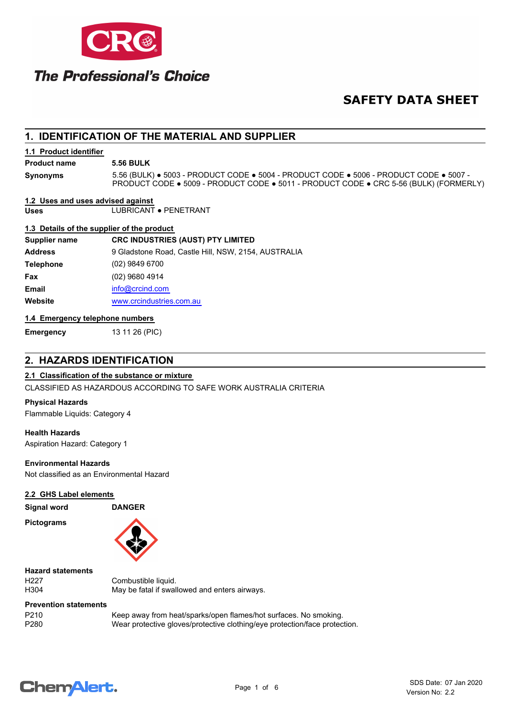

# **SAFETY DATA SHEET**

# **1. IDENTIFICATION OF THE MATERIAL AND SUPPLIER**

# **1.1 Product identifier**

**Product name 5.56 BULK**

**Synonyms**

5.56 (BULK) ● 5003 - PRODUCT CODE ● 5004 - PRODUCT CODE ● 5006 - PRODUCT CODE ● 5007 - PRODUCT CODE ● 5009 - PRODUCT CODE ● 5011 - PRODUCT CODE ● CRC 5-56 (BULK) (FORMERLY)

# **1.2 Uses and uses advised against**

**Uses** LUBRICANT ● PENETRANT

# **1.3 Details of the supplier of the product**

| Supplier name    | <b>CRC INDUSTRIES (AUST) PTY LIMITED</b>            |  |  |
|------------------|-----------------------------------------------------|--|--|
| <b>Address</b>   | 9 Gladstone Road, Castle Hill, NSW, 2154, AUSTRALIA |  |  |
| <b>Telephone</b> | $(02)$ 9849 6700                                    |  |  |
| Fax              | (02) 9680 4914                                      |  |  |
| <b>Email</b>     | info@crcind.com                                     |  |  |
| Website          | www.crcindustries.com.au                            |  |  |
|                  |                                                     |  |  |

# **1.4 Emergency telephone numbers**

**Emergency** 13 11 26 (PIC)

# **2. HAZARDS IDENTIFICATION**

# **2.1 Classification of the substance or mixture**

CLASSIFIED AS HAZARDOUS ACCORDING TO SAFE WORK AUSTRALIA CRITERIA

# **Physical Hazards**

Flammable Liquids: Category 4

# **Health Hazards**

Aspiration Hazard: Category 1

# **Environmental Hazards**

Not classified as an Environmental Hazard

# **2.2 GHS Label elements**

**Signal word DANGER**

**Pictograms**



**Hazard statements**

H227 Combustible liquid.<br>
H304 May be fatal if swal May be fatal if swallowed and enters airways.

# **Prevention statements**

P210 Keep away from heat/sparks/open flames/hot surfaces. No smoking.<br>P280 Wear protective gloves/protective clothing/eve protection/face protection Wear protective gloves/protective clothing/eye protection/face protection.

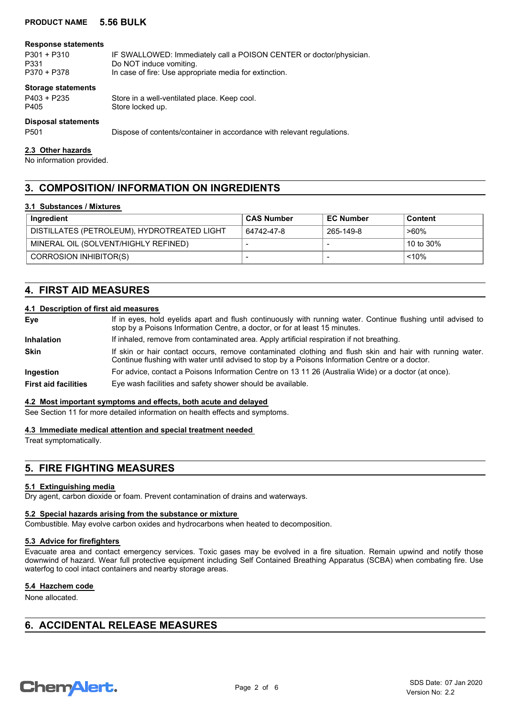#### **Response statements**

P301 + P310 IF SWALLOWED: Immediately call a POISON CENTER or doctor/physician. P331 Do NOT induce vomiting.<br>P370 + P378 In case of fire: Use appro In case of fire: Use appropriate media for extinction.

#### **Storage statements**

P403 + P235 Store in a well-ventilated place. Keep cool. P405 Store locked up.

# **Disposal statements**

P501 Dispose of contents/container in accordance with relevant regulations.

#### **2.3 Other hazards**

No information provided.

# **3. COMPOSITION/ INFORMATION ON INGREDIENTS**

# **3.1 Substances / Mixtures**

| Ingredient                                  | <b>CAS Number</b>        | <b>EC Number</b>         | <b>Content</b> |
|---------------------------------------------|--------------------------|--------------------------|----------------|
| DISTILLATES (PETROLEUM), HYDROTREATED LIGHT | 64742-47-8               | 265-149-8                | >60%           |
| MINERAL OIL (SOLVENT/HIGHLY REFINED)        | $\overline{\phantom{0}}$ |                          | 10 to 30%      |
| CORROSION INHIBITOR(S)                      |                          | $\overline{\phantom{a}}$ | $~10\%$        |

# **4. FIRST AID MEASURES**

# **4.1 Description of first aid measures**

| Eye                         | If in eyes, hold eyelids apart and flush continuously with running water. Continue flushing until advised to<br>stop by a Poisons Information Centre, a doctor, or for at least 15 minutes.                 |  |  |
|-----------------------------|-------------------------------------------------------------------------------------------------------------------------------------------------------------------------------------------------------------|--|--|
| Inhalation                  | If inhaled, remove from contaminated area. Apply artificial respiration if not breathing.                                                                                                                   |  |  |
| <b>Skin</b>                 | If skin or hair contact occurs, remove contaminated clothing and flush skin and hair with running water.<br>Continue flushing with water until advised to stop by a Poisons Information Centre or a doctor. |  |  |
| Ingestion                   | For advice, contact a Poisons Information Centre on 13 11 26 (Australia Wide) or a doctor (at once).                                                                                                        |  |  |
| <b>First aid facilities</b> | Eye wash facilities and safety shower should be available.                                                                                                                                                  |  |  |

# **4.2 Most important symptoms and effects, both acute and delayed**

See Section 11 for more detailed information on health effects and symptoms.

# **4.3 Immediate medical attention and special treatment needed**

Treat symptomatically.

# **5. FIRE FIGHTING MEASURES**

# **5.1 Extinguishing media**

Dry agent, carbon dioxide or foam. Prevent contamination of drains and waterways.

# **5.2 Special hazards arising from the substance or mixture**

Combustible. May evolve carbon oxides and hydrocarbons when heated to decomposition.

# **5.3 Advice for firefighters**

Evacuate area and contact emergency services. Toxic gases may be evolved in a fire situation. Remain upwind and notify those downwind of hazard. Wear full protective equipment including Self Contained Breathing Apparatus (SCBA) when combating fire. Use waterfog to cool intact containers and nearby storage areas.

# **5.4 Hazchem code**

None allocated.

# **6. ACCIDENTAL RELEASE MEASURES**

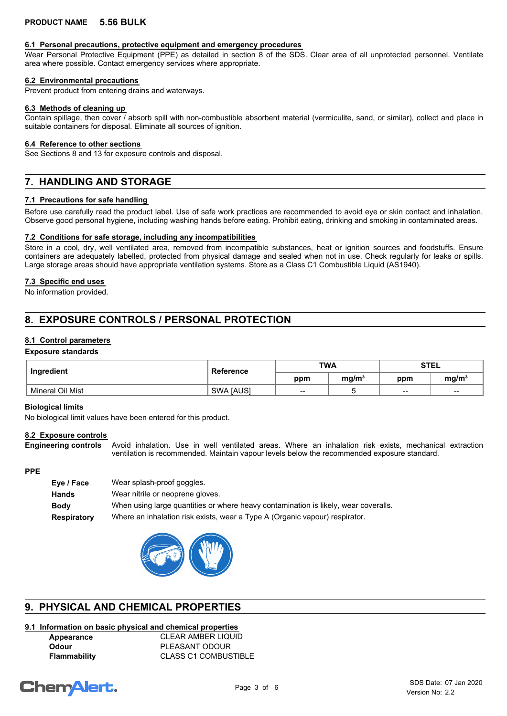# **6.1 Personal precautions, protective equipment and emergency procedures**

Wear Personal Protective Equipment (PPE) as detailed in section 8 of the SDS. Clear area of all unprotected personnel. Ventilate area where possible. Contact emergency services where appropriate.

# **6.2 Environmental precautions**

Prevent product from entering drains and waterways.

#### **6.3 Methods of cleaning up**

Contain spillage, then cover / absorb spill with non-combustible absorbent material (vermiculite, sand, or similar), collect and place in suitable containers for disposal. Eliminate all sources of ignition.

#### **6.4 Reference to other sections**

See Sections 8 and 13 for exposure controls and disposal.

# **7. HANDLING AND STORAGE**

# **7.1 Precautions for safe handling**

Before use carefully read the product label. Use of safe work practices are recommended to avoid eye or skin contact and inhalation. Observe good personal hygiene, including washing hands before eating. Prohibit eating, drinking and smoking in contaminated areas.

# **7.2 Conditions for safe storage, including any incompatibilities**

Store in a cool, dry, well ventilated area, removed from incompatible substances, heat or ignition sources and foodstuffs. Ensure containers are adequately labelled, protected from physical damage and sealed when not in use. Check regularly for leaks or spills. Large storage areas should have appropriate ventilation systems. Store as a Class C1 Combustible Liquid (AS1940).

# **7.3 Specific end uses**

No information provided.

# **8. EXPOSURE CONTROLS / PERSONAL PROTECTION**

# **8.1 Control parameters**

# **Exposure standards**

| Ingredient       | <b>Reference</b> | <b>TWA</b> |                   | <b>STEL</b> |                   |
|------------------|------------------|------------|-------------------|-------------|-------------------|
|                  |                  | ppm        | mq/m <sup>3</sup> | ppm         | mg/m <sup>3</sup> |
| Mineral Oil Mist | SWA [AUS]        | $- -$      |                   | $- -$       | $\sim$            |

# **Biological limits**

No biological limit values have been entered for this product.

# **8.2 Exposure controls**

Avoid inhalation. Use in well ventilated areas. Where an inhalation risk exists, mechanical extraction ventilation is recommended. Maintain vapour levels below the recommended exposure standard. **Engineering controls**

# **PPE**

| Eye / Face         | Wear splash-proof goggles.                                                          |
|--------------------|-------------------------------------------------------------------------------------|
| <b>Hands</b>       | Wear nitrile or neoprene gloves.                                                    |
| <b>Body</b>        | When using large quantities or where heavy contamination is likely, wear coveralls. |
| <b>Respiratory</b> | Where an inhalation risk exists, wear a Type A (Organic vapour) respirator.         |



# **9. PHYSICAL AND CHEMICAL PROPERTIES**

# **9.1 Information on basic physical and chemical properties**

**Appearance** CLEAR AMBER LIQUID **Odour** PLEASANT ODOUR **Flammability** CLASS C1 COMBUSTIBLE

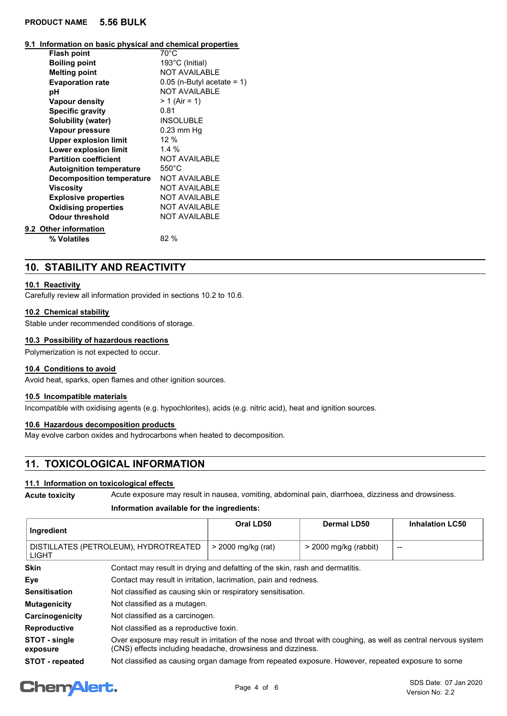# **9.1 Information on basic physical and chemical properties**

| <b>Flash point</b>               | $70^{\circ}$ C               |
|----------------------------------|------------------------------|
| <b>Boiling point</b>             | 193°C (Initial)              |
| <b>Melting point</b>             | <b>NOT AVAILABLE</b>         |
| <b>Evaporation rate</b>          | $0.05$ (n-Butyl acetate = 1) |
| рH                               | <b>NOT AVAILABLE</b>         |
| <b>Vapour density</b>            | $> 1$ (Air = 1)              |
| <b>Specific gravity</b>          | 0.81                         |
| Solubility (water)               | <b>INSOLUBLE</b>             |
| Vapour pressure                  | $0.23$ mm Hq                 |
| <b>Upper explosion limit</b>     | $12\%$                       |
| Lower explosion limit            | 1.4%                         |
| <b>Partition coefficient</b>     | <b>NOT AVAILABLE</b>         |
| <b>Autoignition temperature</b>  | $550^{\circ}$ C              |
| <b>Decomposition temperature</b> | <b>NOT AVAILABLE</b>         |
| <b>Viscosity</b>                 | <b>NOT AVAILABLE</b>         |
| <b>Explosive properties</b>      | <b>NOT AVAILABLE</b>         |
| <b>Oxidising properties</b>      | <b>NOT AVAILABLE</b>         |
| <b>Odour threshold</b>           | <b>NOT AVAILABLE</b>         |
| 9.2 Other information            |                              |
| % Volatiles                      | 82 %                         |
|                                  |                              |

# **10. STABILITY AND REACTIVITY**

# **10.1 Reactivity**

Carefully review all information provided in sections 10.2 to 10.6.

# **10.2 Chemical stability**

Stable under recommended conditions of storage.

# **10.3 Possibility of hazardous reactions**

Polymerization is not expected to occur.

# **10.4 Conditions to avoid**

Avoid heat, sparks, open flames and other ignition sources.

# **10.5 Incompatible materials**

Incompatible with oxidising agents (e.g. hypochlorites), acids (e.g. nitric acid), heat and ignition sources.

# **10.6 Hazardous decomposition products**

May evolve carbon oxides and hydrocarbons when heated to decomposition.

# **11. TOXICOLOGICAL INFORMATION**

# **11.1 Information on toxicological effects**

**Acute toxicity** Acute exposure may result in nausea, vomiting, abdominal pain, diarrhoea, dizziness and drowsiness.

# **Information available for the ingredients:**

| Ingredient                                     |                                                                                                                                                                               | Oral LD50          | Dermal LD50             | <b>Inhalation LC50</b>   |
|------------------------------------------------|-------------------------------------------------------------------------------------------------------------------------------------------------------------------------------|--------------------|-------------------------|--------------------------|
| DISTILLATES (PETROLEUM), HYDROTREATED<br>LIGHT |                                                                                                                                                                               | > 2000 mg/kg (rat) | $>$ 2000 mg/kg (rabbit) | $\overline{\phantom{a}}$ |
| Skin                                           | Contact may result in drying and defatting of the skin, rash and dermatitis.                                                                                                  |                    |                         |                          |
| Eye                                            | Contact may result in irritation, lacrimation, pain and redness.                                                                                                              |                    |                         |                          |
| Sensitisation                                  | Not classified as causing skin or respiratory sensitisation.                                                                                                                  |                    |                         |                          |
| Mutagenicity                                   | Not classified as a mutagen.                                                                                                                                                  |                    |                         |                          |
| Carcinogenicity                                | Not classified as a carcinogen.                                                                                                                                               |                    |                         |                          |
| Reproductive                                   | Not classified as a reproductive toxin.                                                                                                                                       |                    |                         |                          |
| STOT - single<br>exposure                      | Over exposure may result in irritation of the nose and throat with coughing, as well as central nervous system<br>(CNS) effects including headache, drowsiness and dizziness. |                    |                         |                          |
| <b>STOT - repeated</b>                         | Not classified as causing organ damage from repeated exposure. However, repeated exposure to some                                                                             |                    |                         |                          |

# **ChemAlert.**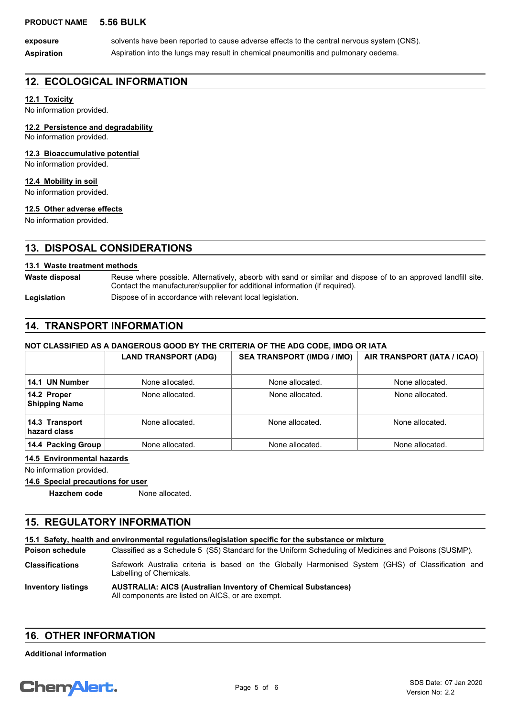**Aspiration** Aspiration into the lungs may result in chemical pneumonitis and pulmonary oedema. exposure solvents have been reported to cause adverse effects to the central nervous system (CNS).

# **12. ECOLOGICAL INFORMATION**

# **12.1 Toxicity**

No information provided.

# **12.2 Persistence and degradability**

No information provided.

# **12.3 Bioaccumulative potential**

No information provided.

# **12.4 Mobility in soil**

No information provided.

# **12.5 Other adverse effects**

No information provided.

# **13. DISPOSAL CONSIDERATIONS**

# **13.1 Waste treatment methods**

Reuse where possible. Alternatively, absorb with sand or similar and dispose of to an approved landfill site. Contact the manufacturer/supplier for additional information (if required). **Waste disposal**

Legislation **Dispose of in accordance with relevant local legislation.** 

# **14. TRANSPORT INFORMATION**

# **NOT CLASSIFIED AS A DANGEROUS GOOD BY THE CRITERIA OF THE ADG CODE, IMDG OR IATA**

|                                     | <b>LAND TRANSPORT (ADG)</b> | <b>SEA TRANSPORT (IMDG / IMO)</b> | AIR TRANSPORT (IATA / ICAO) |
|-------------------------------------|-----------------------------|-----------------------------------|-----------------------------|
|                                     |                             |                                   |                             |
| 14.1 UN Number                      | None allocated.             | None allocated.                   | None allocated.             |
| 14.2 Proper<br><b>Shipping Name</b> | None allocated.             | None allocated.                   | None allocated.             |
| 14.3 Transport<br>hazard class      | None allocated.             | None allocated.                   | None allocated.             |
| 14.4 Packing Group                  | None allocated.             | None allocated.                   | None allocated.             |

# **14.5 Environmental hazards**

No information provided.

# **14.6 Special precautions for user**

**Hazchem code** None allocated.

# **15. REGULATORY INFORMATION**

# **15.1 Safety, health and environmental regulations/legislation specific for the substance or mixture**

Classified as a Schedule 5 (S5) Standard for the Uniform Scheduling of Medicines and Poisons (SUSMP). **Poison schedule**

Safework Australia criteria is based on the Globally Harmonised System (GHS) of Classification and Labelling of Chemicals. **Classifications**

#### **AUSTRALIA: AICS (Australian Inventory of Chemical Substances)** All components are listed on AICS, or are exempt. **Inventory listings**

# **16. OTHER INFORMATION**

**Additional information**